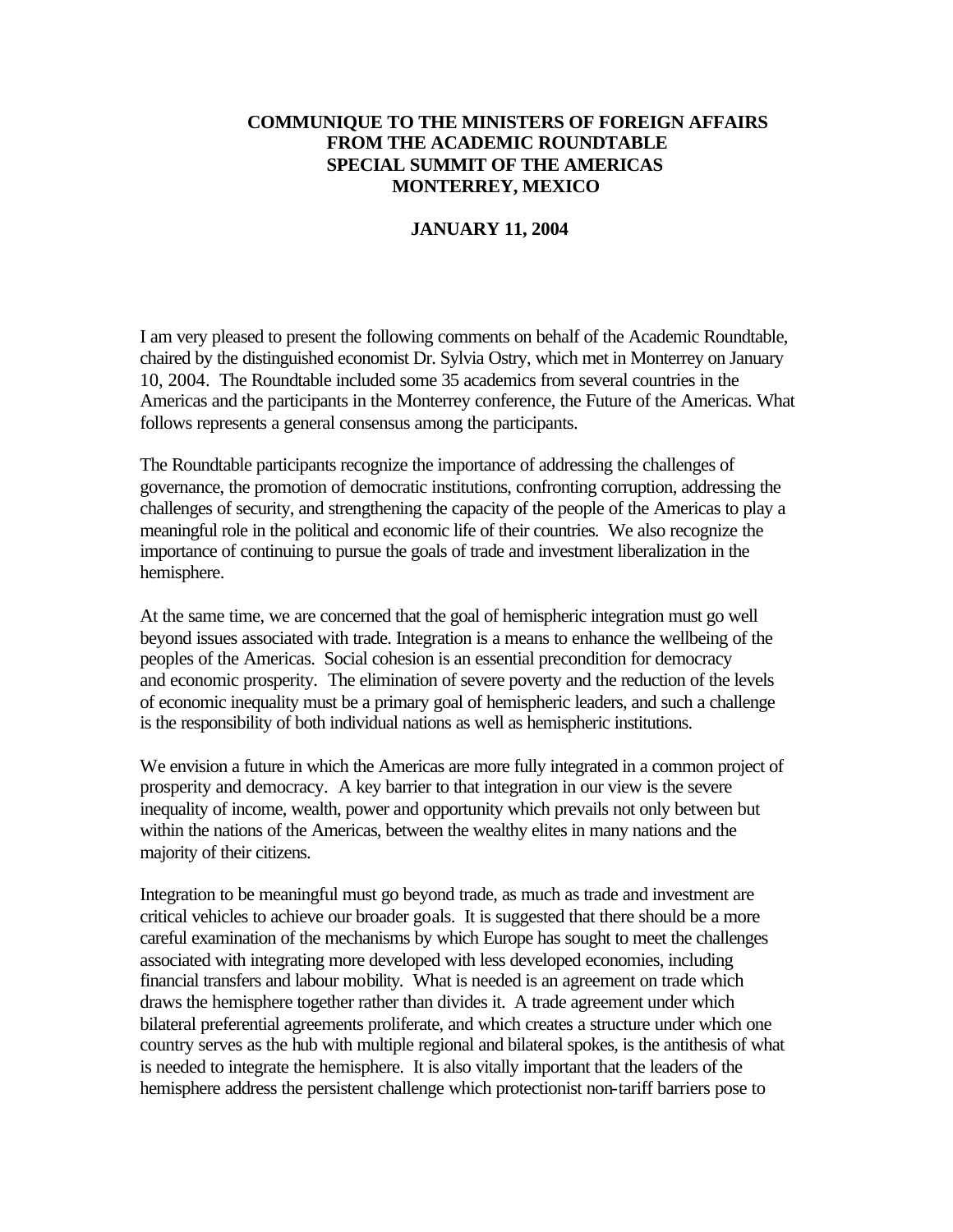## **COMMUNIQUE TO THE MINISTERS OF FOREIGN AFFAIRS FROM THE ACADEMIC ROUNDTABLE SPECIAL SUMMIT OF THE AMERICAS MONTERREY, MEXICO**

## **JANUARY 11, 2004**

I am very pleased to present the following comments on behalf of the Academic Roundtable, chaired by the distinguished economist Dr. Sylvia Ostry, which met in Monterrey on January 10, 2004. The Roundtable included some 35 academics from several countries in the Americas and the participants in the Monterrey conference, the Future of the Americas. What follows represents a general consensus among the participants.

The Roundtable participants recognize the importance of addressing the challenges of governance, the promotion of democratic institutions, confronting corruption, addressing the challenges of security, and strengthening the capacity of the people of the Americas to play a meaningful role in the political and economic life of their countries. We also recognize the importance of continuing to pursue the goals of trade and investment liberalization in the hemisphere.

At the same time, we are concerned that the goal of hemispheric integration must go well beyond issues associated with trade. Integration is a means to enhance the wellbeing of the peoples of the Americas. Social cohesion is an essential precondition for democracy and economic prosperity. The elimination of severe poverty and the reduction of the levels of economic inequality must be a primary goal of hemispheric leaders, and such a challenge is the responsibility of both individual nations as well as hemispheric institutions.

We envision a future in which the Americas are more fully integrated in a common project of prosperity and democracy. A key barrier to that integration in our view is the severe inequality of income, wealth, power and opportunity which prevails not only between but within the nations of the Americas, between the wealthy elites in many nations and the majority of their citizens.

Integration to be meaningful must go beyond trade, as much as trade and investment are critical vehicles to achieve our broader goals. It is suggested that there should be a more careful examination of the mechanisms by which Europe has sought to meet the challenges associated with integrating more developed with less developed economies, including financial transfers and labour mobility. What is needed is an agreement on trade which draws the hemisphere together rather than divides it. A trade agreement under which bilateral preferential agreements proliferate, and which creates a structure under which one country serves as the hub with multiple regional and bilateral spokes, is the antithesis of what is needed to integrate the hemisphere. It is also vitally important that the leaders of the hemisphere address the persistent challenge which protectionist non-tariff barriers pose to